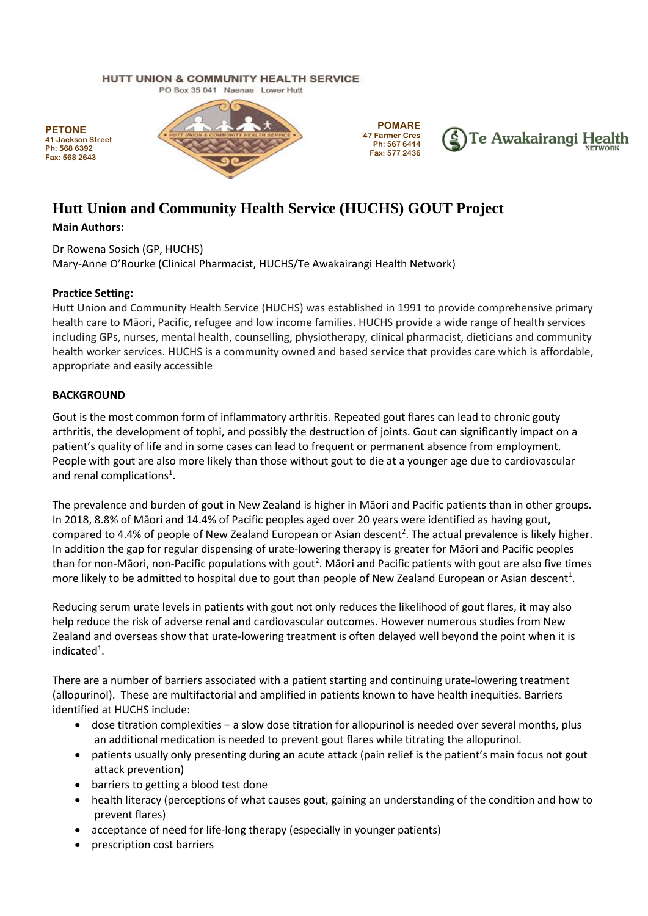#### HUTT UNION & COMMUNITY HEALTH SERVICE

PO Box 35 041 Naenae Lower Hutt

**PETONE 41 Jackson Street Ph: 568 6392 Fax: 568 2643**







## **Hutt Union and Community Health Service (HUCHS) GOUT Project**

#### **Main Authors:**

Dr Rowena Sosich (GP, HUCHS) Mary-Anne O'Rourke (Clinical Pharmacist, HUCHS/Te Awakairangi Health Network)

#### **Practice Setting:**

Hutt Union and Community Health Service (HUCHS) was established in 1991 to provide comprehensive primary health care to Māori, Pacific, refugee and low income families. HUCHS provide a wide range of health services including GPs, nurses, mental health, counselling, physiotherapy, clinical pharmacist, dieticians and community health worker services. HUCHS is a community owned and based service that provides care which is affordable, appropriate and easily accessible

#### **BACKGROUND**

Gout is the most common form of inflammatory arthritis. Repeated gout flares can lead to chronic gouty arthritis, the development of tophi, and possibly the destruction of joints. Gout can significantly impact on a patient's quality of life and in some cases can lead to frequent or permanent absence from employment. People with gout are also more likely than those without gout to die at a younger age due to cardiovascular and renal complications<sup>1</sup>.

The prevalence and burden of gout in New Zealand is higher in Māori and Pacific patients than in other groups. In 2018, 8.8% of Māori and 14.4% of Pacific peoples aged over 20 years were identified as having gout, compared to 4.4% of people of New Zealand European or Asian descent<sup>2</sup>. The actual prevalence is likely higher. In addition the gap for regular dispensing of urate-lowering therapy is greater for Māori and Pacific peoples than for non-Māori, non-Pacific populations with gout<sup>2</sup>. Māori and Pacific patients with gout are also five times more likely to be admitted to hospital due to gout than people of New Zealand European or Asian descent<sup>1</sup>.

Reducing serum urate levels in patients with gout not only reduces the likelihood of gout flares, it may also help reduce the risk of adverse renal and cardiovascular outcomes. However numerous studies from New Zealand and overseas show that urate-lowering treatment is often delayed well beyond the point when it is indicated<sup>1</sup>.

There are a number of barriers associated with a patient starting and continuing urate-lowering treatment (allopurinol). These are multifactorial and amplified in patients known to have health inequities. Barriers identified at HUCHS include:

- dose titration complexities a slow dose titration for allopurinol is needed over several months, plus an additional medication is needed to prevent gout flares while titrating the allopurinol.
- patients usually only presenting during an acute attack (pain relief is the patient's main focus not gout attack prevention)
- barriers to getting a blood test done
- health literacy (perceptions of what causes gout, gaining an understanding of the condition and how to prevent flares)
- acceptance of need for life-long therapy (especially in younger patients)
- prescription cost barriers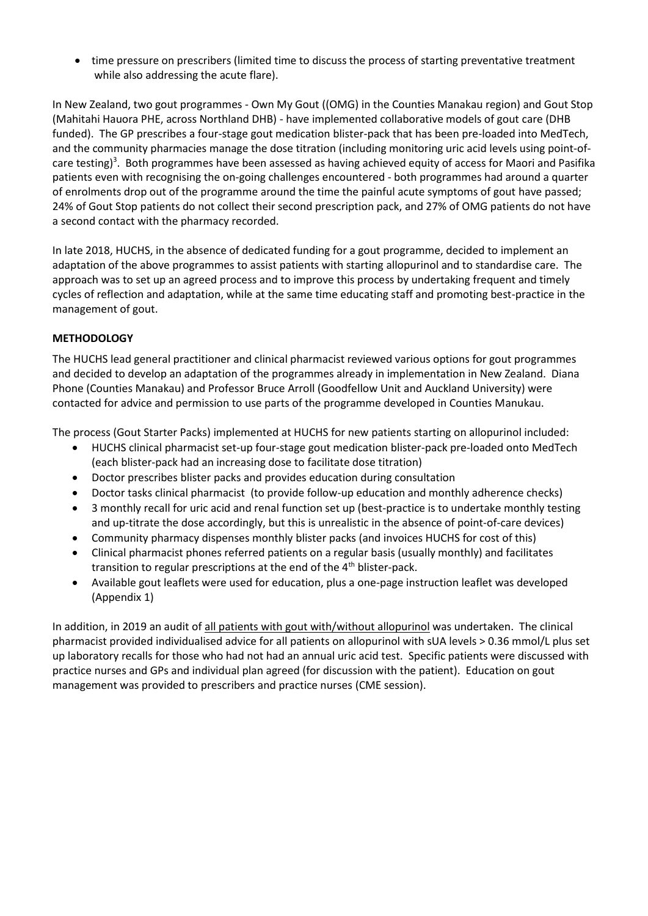• time pressure on prescribers (limited time to discuss the process of starting preventative treatment while also addressing the acute flare).

In New Zealand, two gout programmes - Own My Gout ((OMG) in the Counties Manakau region) and Gout Stop (Mahitahi Hauora PHE, across Northland DHB) - have implemented collaborative models of gout care (DHB funded). The GP prescribes a four-stage gout medication blister-pack that has been pre-loaded into MedTech, and the community pharmacies manage the dose titration (including monitoring uric acid levels using point-ofcare testing)<sup>3</sup>. Both programmes have been assessed as having achieved equity of access for Maori and Pasifika patients even with recognising the on-going challenges encountered - both programmes had around a quarter of enrolments drop out of the programme around the time the painful acute symptoms of gout have passed; 24% of Gout Stop patients do not collect their second prescription pack, and 27% of OMG patients do not have a second contact with the pharmacy recorded.

In late 2018, HUCHS, in the absence of dedicated funding for a gout programme, decided to implement an adaptation of the above programmes to assist patients with starting allopurinol and to standardise care. The approach was to set up an agreed process and to improve this process by undertaking frequent and timely cycles of reflection and adaptation, while at the same time educating staff and promoting best-practice in the management of gout.

### **METHODOLOGY**

The HUCHS lead general practitioner and clinical pharmacist reviewed various options for gout programmes and decided to develop an adaptation of the programmes already in implementation in New Zealand. Diana Phone (Counties Manakau) and Professor Bruce Arroll (Goodfellow Unit and Auckland University) were contacted for advice and permission to use parts of the programme developed in Counties Manukau.

The process (Gout Starter Packs) implemented at HUCHS for new patients starting on allopurinol included:

- HUCHS clinical pharmacist set-up four-stage gout medication blister-pack pre-loaded onto MedTech (each blister-pack had an increasing dose to facilitate dose titration)
- Doctor prescribes blister packs and provides education during consultation
- Doctor tasks clinical pharmacist (to provide follow-up education and monthly adherence checks)
- 3 monthly recall for uric acid and renal function set up (best-practice is to undertake monthly testing and up-titrate the dose accordingly, but this is unrealistic in the absence of point-of-care devices)
- Community pharmacy dispenses monthly blister packs (and invoices HUCHS for cost of this)
- Clinical pharmacist phones referred patients on a regular basis (usually monthly) and facilitates transition to regular prescriptions at the end of the 4<sup>th</sup> blister-pack.
- Available gout leaflets were used for education, plus a one-page instruction leaflet was developed (Appendix 1)

In addition, in 2019 an audit of all patients with gout with/without allopurinol was undertaken. The clinical pharmacist provided individualised advice for all patients on allopurinol with sUA levels > 0.36 mmol/L plus set up laboratory recalls for those who had not had an annual uric acid test. Specific patients were discussed with practice nurses and GPs and individual plan agreed (for discussion with the patient). Education on gout management was provided to prescribers and practice nurses (CME session).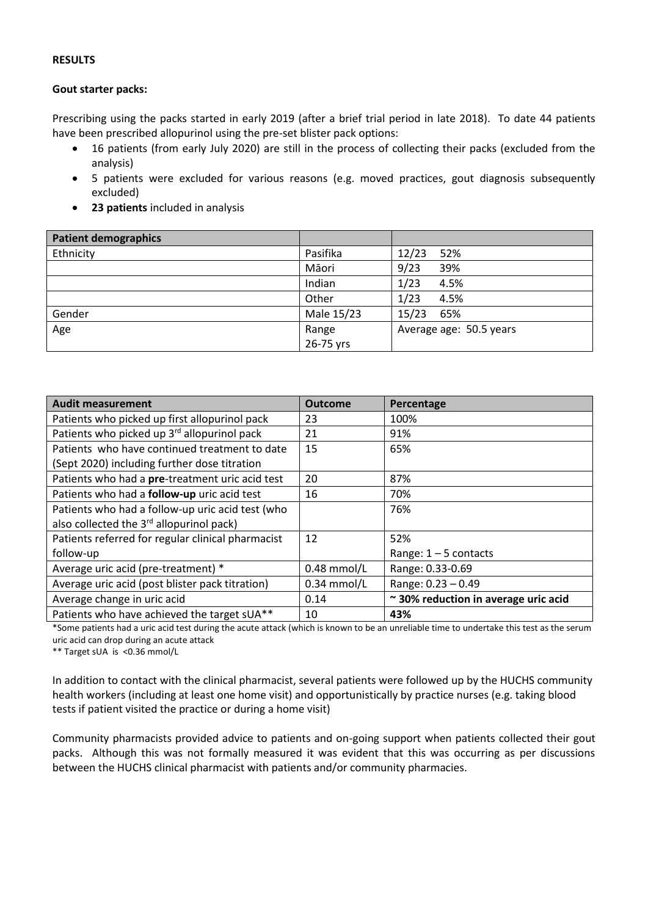#### **RESULTS**

#### **Gout starter packs:**

Prescribing using the packs started in early 2019 (after a brief trial period in late 2018). To date 44 patients have been prescribed allopurinol using the pre-set blister pack options:

- 16 patients (from early July 2020) are still in the process of collecting their packs (excluded from the analysis)
- 5 patients were excluded for various reasons (e.g. moved practices, gout diagnosis subsequently excluded)
- **23 patients** included in analysis

| <b>Patient demographics</b> |            |                         |
|-----------------------------|------------|-------------------------|
| Ethnicity                   | Pasifika   | 12/23<br>52%            |
|                             | Māori      | 9/23<br>39%             |
|                             | Indian     | 1/23<br>4.5%            |
|                             | Other      | 1/23<br>4.5%            |
| Gender                      | Male 15/23 | 15/23<br>65%            |
| Age                         | Range      | Average age: 50.5 years |
|                             | 26-75 yrs  |                         |

| <b>Audit measurement</b>                                | <b>Outcome</b> | Percentage                          |
|---------------------------------------------------------|----------------|-------------------------------------|
| Patients who picked up first allopurinol pack           | 23             | 100%                                |
| Patients who picked up 3 <sup>rd</sup> allopurinol pack | 21             | 91%                                 |
| Patients, who have continued treatment to date          | 15             | 65%                                 |
| (Sept 2020) including further dose titration            |                |                                     |
| Patients who had a pre-treatment uric acid test         | 20             | 87%                                 |
| Patients who had a follow-up uric acid test             | 16             | 70%                                 |
| Patients who had a follow-up uric acid test (who        |                | 76%                                 |
| also collected the 3 <sup>rd</sup> allopurinol pack)    |                |                                     |
| Patients referred for regular clinical pharmacist       | 12             | 52%                                 |
| follow-up                                               |                | Range: $1 - 5$ contacts             |
| Average uric acid (pre-treatment) *                     | $0.48$ mmol/L  | Range: 0.33-0.69                    |
| Average uric acid (post blister pack titration)         | $0.34$ mmol/L  | Range: $0.23 - 0.49$                |
| Average change in uric acid                             | 0.14           | ~30% reduction in average uric acid |
| Patients who have achieved the target sUA**             | 10             | 43%                                 |

\*Some patients had a uric acid test during the acute attack (which is known to be an unreliable time to undertake this test as the serum uric acid can drop during an acute attack

\*\* Target sUA is <0.36 mmol/L

In addition to contact with the clinical pharmacist, several patients were followed up by the HUCHS community health workers (including at least one home visit) and opportunistically by practice nurses (e.g. taking blood tests if patient visited the practice or during a home visit)

Community pharmacists provided advice to patients and on-going support when patients collected their gout packs. Although this was not formally measured it was evident that this was occurring as per discussions between the HUCHS clinical pharmacist with patients and/or community pharmacies.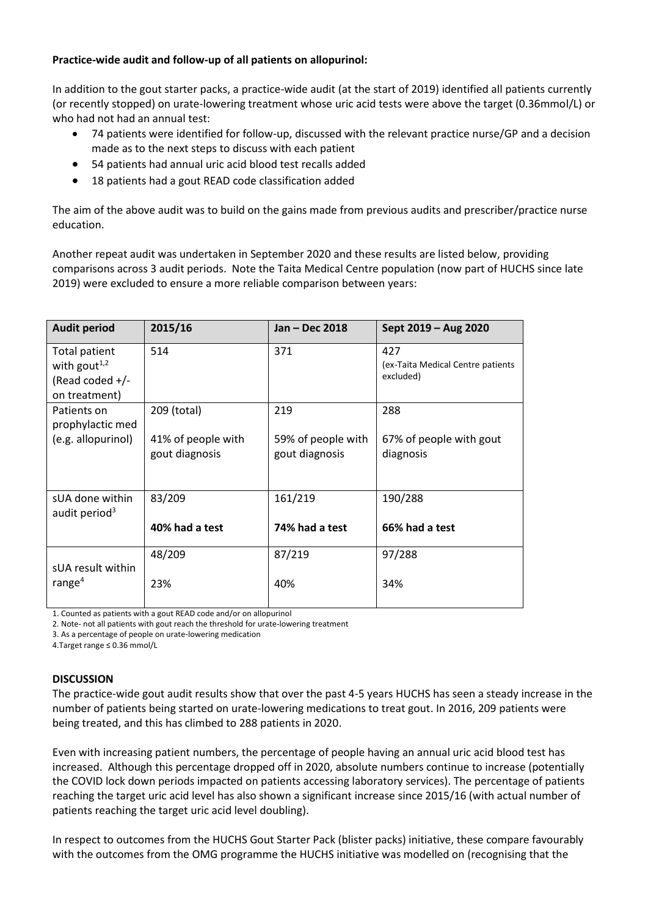#### **Practice-wide audit and follow-up of all patients on allopurinol:**

In addition to the gout starter packs, a practice-wide audit (at the start of 2019) identified all patients currently (or recently stopped) on urate-lowering treatment whose uric acid tests were above the target (0.36mmol/L) or who had not had an annual test:

- 74 patients were identified for follow-up, discussed with the relevant practice nurse/GP and a decision made as to the next steps to discuss with each patient
- 54 patients had annual uric acid blood test recalls added
- 18 patients had a gout READ code classification added

The aim of the above audit was to build on the gains made from previous audits and prescriber/practice nurse education.

Another repeat audit was undertaken in September 2020 and these results are listed below, providing comparisons across 3 audit periods. Note the Taita Medical Centre population (now part of HUCHS since late 2019) were excluded to ensure a more reliable comparison between years:

| <b>Audit period</b>                                                                               | 2015/16                              | Jan - Dec 2018                       | Sept 2019 - Aug 2020                                  |
|---------------------------------------------------------------------------------------------------|--------------------------------------|--------------------------------------|-------------------------------------------------------|
| <b>Total patient</b><br>with gout <sup><math>1,2</math></sup><br>(Read coded +/-<br>on treatment) | 514                                  | 371                                  | 427<br>(ex-Taita Medical Centre patients<br>excluded) |
| Patients on<br>prophylactic med                                                                   | 209 (total)                          | 219                                  | 288                                                   |
| (e.g. allopurinol)                                                                                | 41% of people with<br>gout diagnosis | 59% of people with<br>gout diagnosis | 67% of people with gout<br>diagnosis                  |
| sUA done within<br>audit period <sup>3</sup>                                                      | 83/209                               | 161/219                              | 190/288                                               |
|                                                                                                   | 40% had a test                       | 74% had a test                       | 66% had a test                                        |
| sUA result within                                                                                 | 48/209                               | 87/219                               | 97/288                                                |
| range $4$                                                                                         | 23%                                  | 40%                                  | 34%                                                   |

1. Counted as patients with a gout READ code and/or on allopurinol

2. Note- not all patients with gout reach the threshold for urate-lowering treatment

3. As a percentage of people on urate-lowering medication

4.Target range ≤ 0.36 mmol/L

#### **DISCUSSION**

The practice-wide gout audit results show that over the past 4-5 years HUCHS has seen a steady increase in the number of patients being started on urate-lowering medications to treat gout. In 2016, 209 patients were being treated, and this has climbed to 288 patients in 2020.

Even with increasing patient numbers, the percentage of people having an annual uric acid blood test has increased. Although this percentage dropped off in 2020, absolute numbers continue to increase (potentially the COVID lock down periods impacted on patients accessing laboratory services). The percentage of patients reaching the target uric acid level has also shown a significant increase since 2015/16 (with actual number of patients reaching the target uric acid level doubling).

In respect to outcomes from the HUCHS Gout Starter Pack (blister packs) initiative, these compare favourably with the outcomes from the OMG programme the HUCHS initiative was modelled on (recognising that the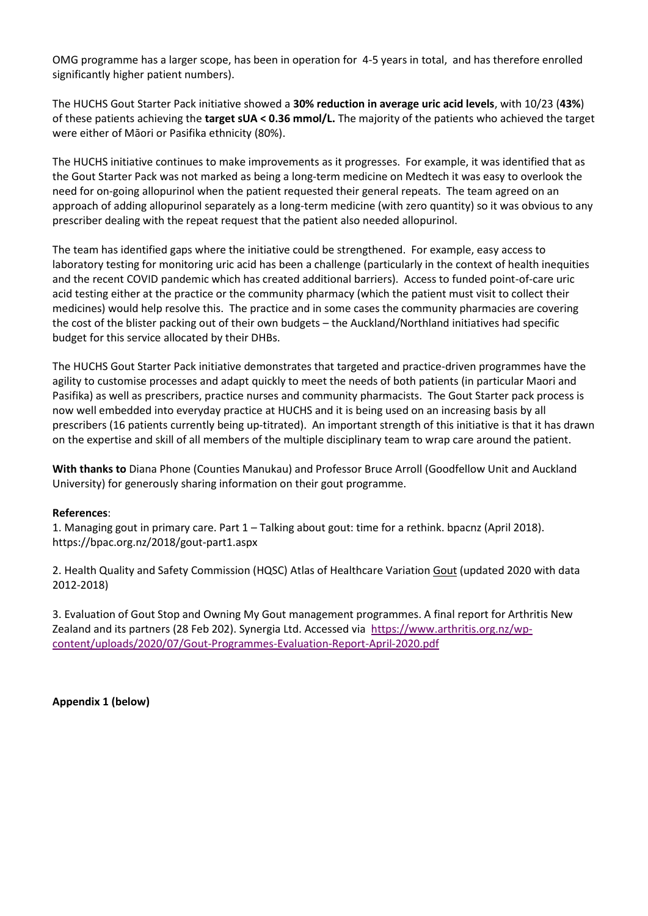OMG programme has a larger scope, has been in operation for 4-5 years in total, and has therefore enrolled significantly higher patient numbers).

The HUCHS Gout Starter Pack initiative showed a **30% reduction in average uric acid levels**, with 10/23 (**43%**) of these patients achieving the **target sUA < 0.36 mmol/L.** The majority of the patients who achieved the target were either of Māori or Pasifika ethnicity (80%).

The HUCHS initiative continues to make improvements as it progresses. For example, it was identified that as the Gout Starter Pack was not marked as being a long-term medicine on Medtech it was easy to overlook the need for on-going allopurinol when the patient requested their general repeats. The team agreed on an approach of adding allopurinol separately as a long-term medicine (with zero quantity) so it was obvious to any prescriber dealing with the repeat request that the patient also needed allopurinol.

The team has identified gaps where the initiative could be strengthened. For example, easy access to laboratory testing for monitoring uric acid has been a challenge (particularly in the context of health inequities and the recent COVID pandemic which has created additional barriers). Access to funded point-of-care uric acid testing either at the practice or the community pharmacy (which the patient must visit to collect their medicines) would help resolve this. The practice and in some cases the community pharmacies are covering the cost of the blister packing out of their own budgets – the Auckland/Northland initiatives had specific budget for this service allocated by their DHBs.

The HUCHS Gout Starter Pack initiative demonstrates that targeted and practice-driven programmes have the agility to customise processes and adapt quickly to meet the needs of both patients (in particular Maori and Pasifika) as well as prescribers, practice nurses and community pharmacists. The Gout Starter pack process is now well embedded into everyday practice at HUCHS and it is being used on an increasing basis by all prescribers (16 patients currently being up-titrated). An important strength of this initiative is that it has drawn on the expertise and skill of all members of the multiple disciplinary team to wrap care around the patient.

**With thanks to** Diana Phone (Counties Manukau) and Professor Bruce Arroll (Goodfellow Unit and Auckland University) for generously sharing information on their gout programme.

#### **References**:

1. Managing gout in primary care. Part 1 – Talking about gout: time for a rethink. bpacnz (April 2018). https://bpac.org.nz/2018/gout-part1.aspx

2. Health Quality and Safety Commission (HQSC) Atlas of Healthcare Variation Gout (updated 2020 with data 2012-2018)

3. Evaluation of Gout Stop and Owning My Gout management programmes. A final report for Arthritis New Zealand and its partners (28 Feb 202). Synergia Ltd. Accessed via [https://www.arthritis.org.nz/wp](https://www.arthritis.org.nz/wp-content/uploads/2020/07/Gout-Programmes-Evaluation-Report-April-2020.pdf)[content/uploads/2020/07/Gout-Programmes-Evaluation-Report-April-2020.pdf](https://www.arthritis.org.nz/wp-content/uploads/2020/07/Gout-Programmes-Evaluation-Report-April-2020.pdf)

**Appendix 1 (below)**